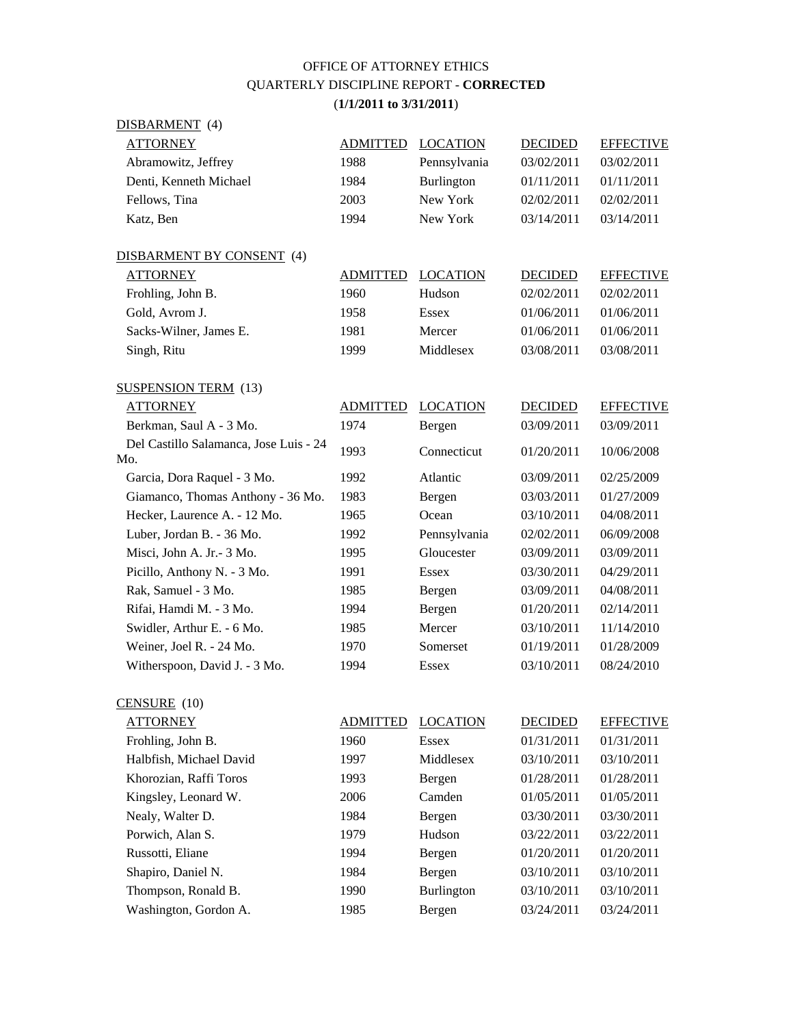## OFFICE OF ATTORNEY ETHICS QUARTERLY DISCIPLINE REPORT - **CORRECTED** (**1/1/2011 to 3/31/2011**)

| DISBARMENT (4)                                |                 |                   |                |                  |
|-----------------------------------------------|-----------------|-------------------|----------------|------------------|
| <b>ATTORNEY</b>                               | <b>ADMITTED</b> | <b>LOCATION</b>   | <b>DECIDED</b> | <b>EFFECTIVE</b> |
| Abramowitz, Jeffrey                           | 1988            | Pennsylvania      | 03/02/2011     | 03/02/2011       |
| Denti, Kenneth Michael                        | 1984            | <b>Burlington</b> | 01/11/2011     | 01/11/2011       |
| Fellows, Tina                                 | 2003            | New York          | 02/02/2011     | 02/02/2011       |
| Katz, Ben                                     | 1994            | New York          | 03/14/2011     | 03/14/2011       |
| DISBARMENT BY CONSENT (4)                     |                 |                   |                |                  |
| <b>ATTORNEY</b>                               | <b>ADMITTED</b> | <b>LOCATION</b>   | <b>DECIDED</b> | <b>EFFECTIVE</b> |
| Frohling, John B.                             | 1960            | Hudson            | 02/02/2011     | 02/02/2011       |
| Gold, Avrom J.                                | 1958            | Essex             | 01/06/2011     | 01/06/2011       |
| Sacks-Wilner, James E.                        | 1981            | Mercer            | 01/06/2011     | 01/06/2011       |
| Singh, Ritu                                   | 1999            | Middlesex         | 03/08/2011     | 03/08/2011       |
| <b>SUSPENSION TERM</b> (13)                   |                 |                   |                |                  |
| <b>ATTORNEY</b>                               | <b>ADMITTED</b> | <b>LOCATION</b>   | <b>DECIDED</b> | <b>EFFECTIVE</b> |
| Berkman, Saul A - 3 Mo.                       | 1974            | Bergen            | 03/09/2011     | 03/09/2011       |
| Del Castillo Salamanca, Jose Luis - 24<br>Mo. | 1993            | Connecticut       | 01/20/2011     | 10/06/2008       |
| Garcia, Dora Raquel - 3 Mo.                   | 1992            | Atlantic          | 03/09/2011     | 02/25/2009       |
| Giamanco, Thomas Anthony - 36 Mo.             | 1983            | Bergen            | 03/03/2011     | 01/27/2009       |
| Hecker, Laurence A. - 12 Mo.                  | 1965            | Ocean             | 03/10/2011     | 04/08/2011       |
| Luber, Jordan B. - 36 Mo.                     | 1992            | Pennsylvania      | 02/02/2011     | 06/09/2008       |
| Misci, John A. Jr. - 3 Mo.                    | 1995            | Gloucester        | 03/09/2011     | 03/09/2011       |
| Picillo, Anthony N. - 3 Mo.                   | 1991            | <b>Essex</b>      | 03/30/2011     | 04/29/2011       |
| Rak, Samuel - 3 Mo.                           | 1985            | Bergen            | 03/09/2011     | 04/08/2011       |
| Rifai, Hamdi M. - 3 Mo.                       | 1994            | Bergen            | 01/20/2011     | 02/14/2011       |
| Swidler, Arthur E. - 6 Mo.                    | 1985            | Mercer            | 03/10/2011     | 11/14/2010       |
| Weiner, Joel R. - 24 Mo.                      | 1970            | Somerset          | 01/19/2011     | 01/28/2009       |
| Witherspoon, David J. - 3 Mo.                 | 1994            | <b>Essex</b>      | 03/10/2011     | 08/24/2010       |

| CENSURE (10)            |                 |                   |                |                  |
|-------------------------|-----------------|-------------------|----------------|------------------|
| <b>ATTORNEY</b>         | <b>ADMITTED</b> | <b>LOCATION</b>   | <b>DECIDED</b> | <b>EFFECTIVE</b> |
| Frohling, John B.       | 1960            | Essex             | 01/31/2011     | 01/31/2011       |
| Halbfish, Michael David | 1997            | Middlesex         | 03/10/2011     | 03/10/2011       |
| Khorozian, Raffi Toros  | 1993            | Bergen            | 01/28/2011     | 01/28/2011       |
| Kingsley, Leonard W.    | 2006            | Camden            | 01/05/2011     | 01/05/2011       |
| Nealy, Walter D.        | 1984            | Bergen            | 03/30/2011     | 03/30/2011       |
| Porwich, Alan S.        | 1979            | Hudson            | 03/22/2011     | 03/22/2011       |
| Russotti, Eliane        | 1994            | Bergen            | 01/20/2011     | 01/20/2011       |
| Shapiro, Daniel N.      | 1984            | Bergen            | 03/10/2011     | 03/10/2011       |
| Thompson, Ronald B.     | 1990            | <b>Burlington</b> | 03/10/2011     | 03/10/2011       |
| Washington, Gordon A.   | 1985            | Bergen            | 03/24/2011     | 03/24/2011       |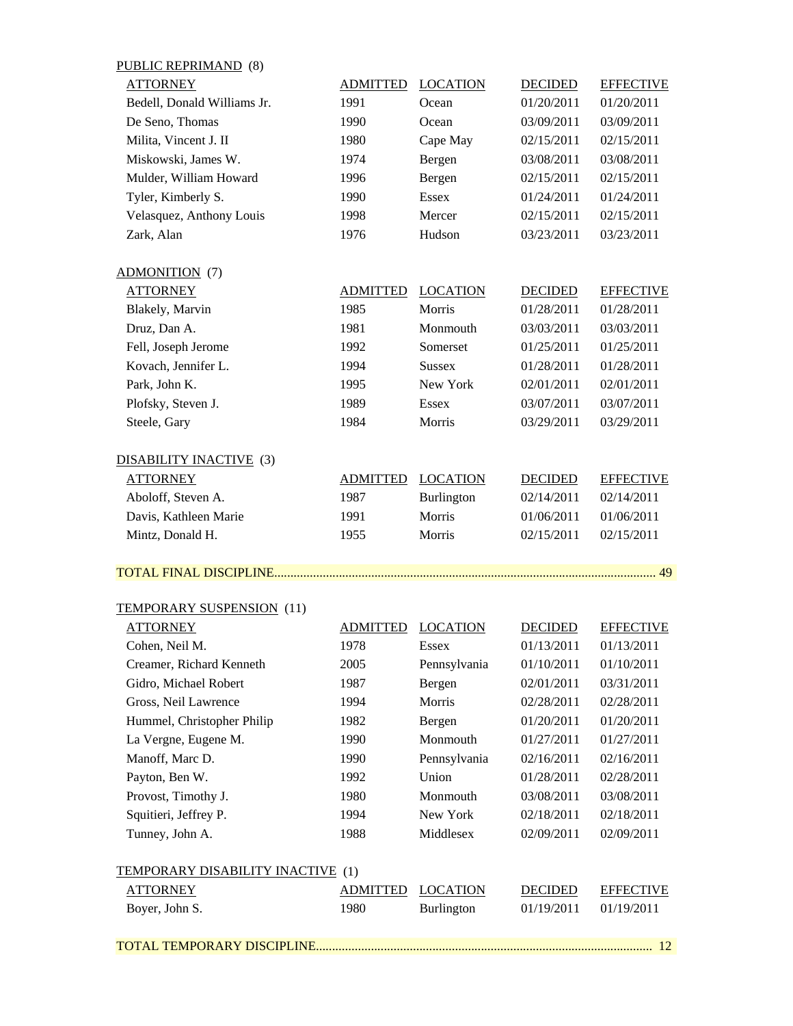| <b>PUBLIC REPRIMAND</b> (8)       |                 |                 |                |                  |
|-----------------------------------|-----------------|-----------------|----------------|------------------|
| <b>ATTORNEY</b>                   | <b>ADMITTED</b> | <b>LOCATION</b> | <b>DECIDED</b> | <b>EFFECTIVE</b> |
| Bedell, Donald Williams Jr.       | 1991            | Ocean           | 01/20/2011     | 01/20/2011       |
| De Seno, Thomas                   | 1990            | Ocean           | 03/09/2011     | 03/09/2011       |
| Milita, Vincent J. II             | 1980            | Cape May        | 02/15/2011     | 02/15/2011       |
| Miskowski, James W.               | 1974            | Bergen          | 03/08/2011     | 03/08/2011       |
| Mulder, William Howard            | 1996            | Bergen          | 02/15/2011     | 02/15/2011       |
| Tyler, Kimberly S.                | 1990            | <b>Essex</b>    | 01/24/2011     | 01/24/2011       |
| Velasquez, Anthony Louis          | 1998            | Mercer          | 02/15/2011     | 02/15/2011       |
| Zark, Alan                        | 1976            | Hudson          | 03/23/2011     | 03/23/2011       |
| <b>ADMONITION</b> (7)             |                 |                 |                |                  |
| <b>ATTORNEY</b>                   | <b>ADMITTED</b> | <b>LOCATION</b> | <b>DECIDED</b> | <b>EFFECTIVE</b> |
| Blakely, Marvin                   | 1985            | Morris          | 01/28/2011     | 01/28/2011       |
| Druz, Dan A.                      | 1981            | Monmouth        | 03/03/2011     | 03/03/2011       |
| Fell, Joseph Jerome               | 1992            | Somerset        | 01/25/2011     | 01/25/2011       |
| Kovach, Jennifer L.               | 1994            | <b>Sussex</b>   | 01/28/2011     | 01/28/2011       |
| Park, John K.                     | 1995            | New York        | 02/01/2011     | 02/01/2011       |
| Plofsky, Steven J.                | 1989            | <b>Essex</b>    | 03/07/2011     | 03/07/2011       |
| Steele, Gary                      | 1984            | Morris          | 03/29/2011     | 03/29/2011       |
| <b>DISABILITY INACTIVE</b> (3)    |                 |                 |                |                  |
| <b>ATTORNEY</b>                   | <b>ADMITTED</b> | <b>LOCATION</b> | <b>DECIDED</b> | <b>EFFECTIVE</b> |
| Aboloff, Steven A.                | 1987            | Burlington      | 02/14/2011     | 02/14/2011       |
| Davis, Kathleen Marie             | 1991            | Morris          | 01/06/2011     | 01/06/2011       |
| Mintz, Donald H.                  | 1955            | Morris          | 02/15/2011     | 02/15/2011       |
|                                   |                 |                 |                |                  |
| TEMPORARY SUSPENSION (11)         |                 |                 |                |                  |
| <b>ATTORNEY</b>                   | <b>ADMITTED</b> | <b>LOCATION</b> | <b>DECIDED</b> | <b>EFFECTIVE</b> |
| Cohen, Neil M.                    | 1978            | Essex           | 01/13/2011     | 01/13/2011       |
| Creamer, Richard Kenneth          | 2005            | Pennsylvania    | 01/10/2011     | 01/10/2011       |
| Gidro, Michael Robert             | 1987            | Bergen          | 02/01/2011     | 03/31/2011       |
| Gross, Neil Lawrence              | 1994            | Morris          | 02/28/2011     | 02/28/2011       |
| Hummel, Christopher Philip        | 1982            | Bergen          | 01/20/2011     | 01/20/2011       |
| La Vergne, Eugene M.              | 1990            | Monmouth        | 01/27/2011     | 01/27/2011       |
| Manoff, Marc D.                   | 1990            | Pennsylvania    | 02/16/2011     | 02/16/2011       |
| Payton, Ben W.                    | 1992            | Union           | 01/28/2011     | 02/28/2011       |
| Provost, Timothy J.               | 1980            | Monmouth        | 03/08/2011     | 03/08/2011       |
| Squitieri, Jeffrey P.             | 1994            | New York        | 02/18/2011     | 02/18/2011       |
| Tunney, John A.                   | 1988            | Middlesex       | 02/09/2011     | 02/09/2011       |
| TEMPORARY DISABILITY INACTIVE (1) |                 |                 |                |                  |
| <b>ATTORNEY</b>                   | <b>ADMITTED</b> | <b>LOCATION</b> | <b>DECIDED</b> | <b>EFFECTIVE</b> |
| Boyer, John S.                    | 1980            | Burlington      | 01/19/2011     | 01/19/2011       |
|                                   |                 |                 |                | 12               |